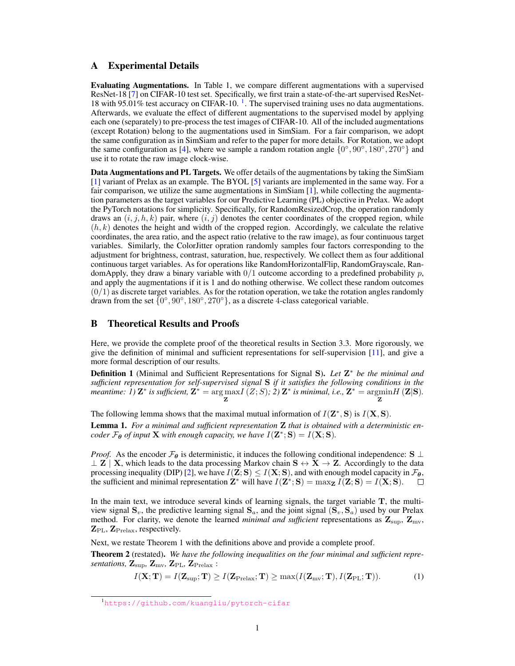# <span id="page-0-3"></span>A Experimental Details

Evaluating Augmentations. In Table 1, we compare different augmentations with a supervised ResNet-18 [\[7\]](#page-5-0) on CIFAR-10 test set. Specifically, we first train a state-of-the-art supervised ResNet-[1](#page-0-0)8 with 95.01% test accuracy on CIFAR-10.<sup>1</sup>. The supervised training uses no data augmentations. Afterwards, we evaluate the effect of different augmentations to the supervised model by applying each one (separately) to pre-process the test images of CIFAR-10. All of the included augmentations (except Rotation) belong to the augmentations used in SimSiam. For a fair comparison, we adopt the same configuration as in SimSiam and refer to the paper for more details. For Rotation, we adopt the same configuration as [\[4\]](#page-4-0), where we sample a random rotation angle  $\{0^\circ, 90^\circ, 180^\circ, 270^\circ\}$  and use it to rotate the raw image clock-wise.

Data Augmentations and PL Targets. We offer details of the augmentations by taking the SimSiam [\[1\]](#page-4-1) variant of Prelax as an example. The BYOL [\[5\]](#page-5-1) variants are implemented in the same way. For a fair comparison, we utilize the same augmentations in SimSiam [\[1\]](#page-4-1), while collecting the augmentation parameters as the target variables for our Predictive Learning (PL) objective in Prelax. We adopt the PyTorch notations for simplicity. Specifically, for RandomResizedCrop, the operation randomly draws an  $(i, j, h, k)$  pair, where  $(i, j)$  denotes the center coordinates of the cropped region, while  $(h, k)$  denotes the height and width of the cropped region. Accordingly, we calculate the relative coordinates, the area ratio, and the aspect ratio (relative to the raw image), as four continuous target variables. Similarly, the ColorJitter opration randomly samples four factors corresponding to the adjustment for brightness, contrast, saturation, hue, respectively. We collect them as four additional continuous target variables. As for operations like RandomHorizontalFlip, RandomGrayscale, RandomApply, they draw a binary variable with  $0/1$  outcome according to a predefined probability  $p$ , and apply the augmentations if it is 1 and do nothing otherwise. We collect these random outcomes  $(0/1)$  as discrete target variables. As for the rotation operation, we take the rotation angles randomly drawn from the set  $\{0^\circ, 90^\circ, 180^\circ, 270^\circ\}$ , as a discrete 4-class categorical variable.

# B Theoretical Results and Proofs

Here, we provide the complete proof of the theoretical results in Section 3.3. More rigorously, we give the definition of minimal and sufficient representations for self-supervision [\[11\]](#page-5-2), and give a more formal description of our results.

Definition 1 (Minimal and Sufficient Representations for Signal S). Let Z<sup>\*</sup> be the minimal and *sufficient representation for self-supervised signal* S *if it satisfies the following conditions in the*  $\vec{P}$  *meantime:*  $\hat{\mathbf{I}}$ )  $\mathbf{Z}^*$  is sufficient,  $\mathbf{Z}^* = \argmax_{\mathbf{Z}} I(\mathbf{Z}; S)$ ;  $\hat{\mathbf{Z}}$ )  $\mathbf{Z}^*$  is minimal, i.e.,  $\mathbf{Z}^* = \argmin_{\mathbf{Z}} I(\mathbf{Z}|\mathbf{S})$ .

The following lemma shows that the maximal mutual information of  $I(\mathbf{Z}^*, \mathbf{S})$  is  $I(\mathbf{X}, \mathbf{S})$ .

<span id="page-0-1"></span>Lemma 1. *For a minimal and sufficient representation* Z *that is obtained with a deterministic encoder*  $\mathcal{F}_{\theta}$  *of input* **X** *with enough capacity, we have*  $I(\mathbf{Z}^*; \mathbf{S}) = I(\mathbf{X}; \mathbf{S})$ *.* 

*Proof.* As the encoder  $\mathcal{F}_{\theta}$  is deterministic, it induces the following conditional independence: S ⊥  $\perp$  **Z** | **X**, which leads to the data processing Markov chain  $S \leftrightarrow X \rightarrow Z$ . Accordingly to the data processing inequality (DIP) [\[2\]](#page-4-2), we have  $I(\mathbf{Z}; \mathbf{S}) \leq I(\mathbf{X}; \mathbf{S})$ , and with enough model capacity in  $\mathcal{F}_{\theta}$ , the sufficient and minimal representation  $\mathbf{Z}^*$  will have  $I(\mathbf{Z}^*; \mathbf{S}) = \max_{\mathbf{Z}} I(\mathbf{Z}; \mathbf{S}) = I(\mathbf{X}; \mathbf{S}).$  $\Box$ 

In the main text, we introduce several kinds of learning signals, the target variable  $T$ , the multiview signal  $S_v$ , the predictive learning signal  $S_a$ , and the joint signal  $(S_v, S_a)$  used by our Prelax method. For clarity, we denote the learned *minimal and sufficient* representations as  $\mathbf{Z}_{\text{sup}}$ ,  $\mathbf{Z}_{\text{mv}}$ ,  $\mathbf{Z}_{\text{PL}}$ ,  $\mathbf{Z}_{\text{Prelax}}$ , respectively.

Next, we restate Theorem 1 with the definitions above and provide a complete proof.

Theorem 2 (restated). *We have the following inequalities on the four minimal and sufficient representations,*  $\mathbf{Z}_{\text{sup}}$ ,  $\mathbf{Z}_{\text{mv}}$ ,  $\mathbf{Z}_{\text{PL}}$ ,  $\mathbf{Z}_{\text{Prelax}}$ :

<span id="page-0-2"></span>
$$
I(\mathbf{X}; \mathbf{T}) = I(\mathbf{Z}_{\text{sup}}; \mathbf{T}) \ge I(\mathbf{Z}_{\text{Prelax}}; \mathbf{T}) \ge \max(I(\mathbf{Z}_{\text{mv}}; \mathbf{T}), I(\mathbf{Z}_{\text{PL}}; \mathbf{T})).
$$
 (1)

<span id="page-0-0"></span><sup>1</sup><https://github.com/kuangliu/pytorch-cifar>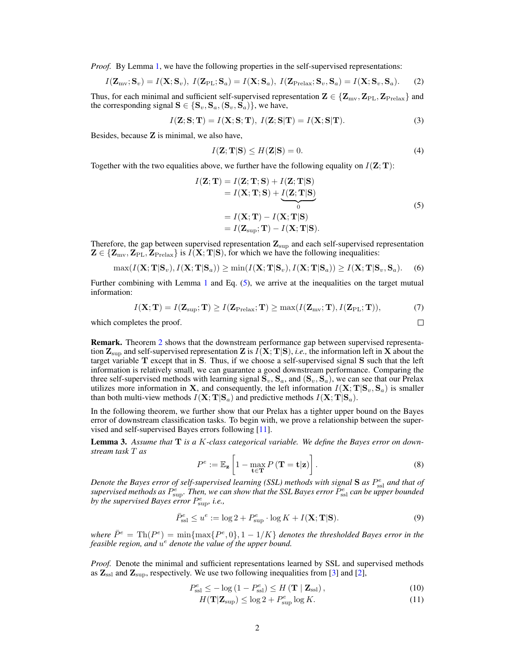<span id="page-1-5"></span>*Proof.* By Lemma [1,](#page-0-1) we have the following properties in the self-supervised representations:

$$
I(\mathbf{Z}_{\text{mv}}; \mathbf{S}_v) = I(\mathbf{X}; \mathbf{S}_v), \ I(\mathbf{Z}_{\text{PL}}; \mathbf{S}_a) = I(\mathbf{X}; \mathbf{S}_a), \ I(\mathbf{Z}_{\text{Prelax}}; \mathbf{S}_v, \mathbf{S}_a) = I(\mathbf{X}; \mathbf{S}_v, \mathbf{S}_a). \tag{2}
$$

Thus, for each minimal and sufficient self-supervised representation  $\mathbf{Z} \in \{ \mathbf{Z}_{mv}, \mathbf{Z}_{PL}, \mathbf{Z}_{Prelax} \}$  and the corresponding signal  $S \in \{S_v, S_a, (S_v, S_a)\}\$ , we have,

$$
I(\mathbf{Z}; \mathbf{S}; \mathbf{T}) = I(\mathbf{X}; \mathbf{S}; \mathbf{T}), I(\mathbf{Z}; \mathbf{S}|\mathbf{T}) = I(\mathbf{X}; \mathbf{S}|\mathbf{T}).
$$
\n(3)

Besides, because Z is minimal, we also have,

$$
I(\mathbf{Z}; \mathbf{T}|\mathbf{S}) \le H(\mathbf{Z}|\mathbf{S}) = 0.
$$
\n<sup>(4)</sup>

Together with the two equalities above, we further have the following equality on  $I(\mathbf{Z}; \mathbf{T})$ :

<span id="page-1-0"></span>
$$
I(\mathbf{Z}; \mathbf{T}) = I(\mathbf{Z}; \mathbf{T}; \mathbf{S}) + I(\mathbf{Z}; \mathbf{T} | \mathbf{S})
$$
  
=  $I(\mathbf{X}; \mathbf{T}; \mathbf{S}) + \underbrace{I(\mathbf{Z}; \mathbf{T} | \mathbf{S})}_{0}$   
=  $I(\mathbf{X}; \mathbf{T}) - I(\mathbf{X}; \mathbf{T} | \mathbf{S})$   
=  $I(\mathbf{Z}_{\text{sup}}; \mathbf{T}) - I(\mathbf{X}; \mathbf{T} | \mathbf{S}).$  (5)

 $\Box$ 

Therefore, the gap between supervised representation  $Z_{\text{sup}}$  and each self-supervised representation  $\mathbf{Z} \in \{ \mathbf{Z}_{mv}, \mathbf{Z}_{PL}, \mathbf{Z}_{Prelax} \}$  is  $I(\mathbf{X}; \mathbf{T} | \mathbf{S})$ , for which we have the following inequalities:

<span id="page-1-4"></span>
$$
\max(I(\mathbf{X}; \mathbf{T} | \mathbf{S}_v), I(\mathbf{X}; \mathbf{T} | \mathbf{S}_a)) \ge \min(I(\mathbf{X}; \mathbf{T} | \mathbf{S}_v), I(\mathbf{X}; \mathbf{T} | \mathbf{S}_a)) \ge I(\mathbf{X}; \mathbf{T} | \mathbf{S}_v, \mathbf{S}_a).
$$
 (6)

Further combining with Lemma [1](#page-0-1) and Eq.  $(5)$ , we arrive at the inequalities on the target mutual information:

$$
I(\mathbf{X}; \mathbf{T}) = I(\mathbf{Z}_{\text{sup}}; \mathbf{T}) \ge I(\mathbf{Z}_{\text{Prelax}}; \mathbf{T}) \ge \max(I(\mathbf{Z}_{\text{mv}}; \mathbf{T}), I(\mathbf{Z}_{\text{PL}}; \mathbf{T})),\tag{7}
$$

which completes the proof.

Remark. Theorem [2](#page-0-2) shows that the downstream performance gap between supervised representation  $\mathbf{Z}_{\text{sup}}$  and self-supervised representation  $\mathbf{Z}$  is  $I(\mathbf{X}; \mathbf{T} | \mathbf{S})$ , *i.e.*, the information left in  $\mathbf{X}$  about the target variable T except that in S. Thus, if we choose a self-supervised signal S such that the left information is relatively small, we can guarantee a good downstream performance. Comparing the three self-supervised methods with learning signal  $S_v$ ,  $S_a$ , and  $(S_v, S_a)$ , we can see that our Prelax utilizes more information in X, and consequently, the left information  $I(X; T|S_v, S_a)$  is smaller than both multi-view methods  $I(X; T|S_a)$  and predictive methods  $I(X; T|S_a)$ .

In the following theorem, we further show that our Prelax has a tighter upper bound on the Bayes error of downstream classification tasks. To begin with, we prove a relationship between the supervised and self-supervised Bayes errors following [\[11\]](#page-5-2).

Lemma 3. *Assume that* T *is a* K*-class categorical variable. We define the Bayes error on downstream task* T *as*

$$
P^{e} := \mathbb{E}_{\mathbf{z}} \left[ 1 - \max_{\mathbf{t} \in \mathbf{T}} P\left(\mathbf{T} = \mathbf{t} | \mathbf{z}\right) \right]. \tag{8}
$$

*Denote the Bayes error of self-supervised learning (SSL) methods with signal* **S** *as*  $P_{\text{ssl}}^e$  *and that of* supervised methods as  $P_{\text{sup}}^e$ . Then, we can show that the SSL Bayes error  $\tilde{P}_{\text{ssl}}^e$  can be upper bounded by the supervised Bayes error  $P_{\text{sup}}^e$ , *i.e.*,

<span id="page-1-3"></span>
$$
\bar{P}_{\text{ssl}}^e \le u^e := \log 2 + P_{\text{sup}}^e \cdot \log K + I(\mathbf{X}; \mathbf{T} | \mathbf{S}).\tag{9}
$$

 $\bar{P}^e = \text{Th}(P^e) = \min\{\max\{P^e, 0\}, 1 - 1/K\}$  *denotes the thresholded Bayes error in the* feasible region, and  $u^e$  denote the value of the upper bound.

*Proof.* Denote the minimal and sufficient representations learned by SSL and supervised methods as  $\mathbb{Z}_{\text{ssl}}$  and  $\mathbb{Z}_{\text{sup}}$ , respectively. We use two following inequalities from [\[3\]](#page-4-3) and [\[2\]](#page-4-2),

$$
P_{\text{ssl}}^{e} \le -\log\left(1 - P_{\text{ssl}}^{e}\right) \le H\left(\mathbf{T} \mid \mathbf{Z}_{\text{ssl}}\right),\tag{10}
$$

<span id="page-1-2"></span><span id="page-1-1"></span>
$$
H(\mathbf{T}|\mathbf{Z}_{\text{sup}}) \le \log 2 + P_{\text{sup}}^e \log K. \tag{11}
$$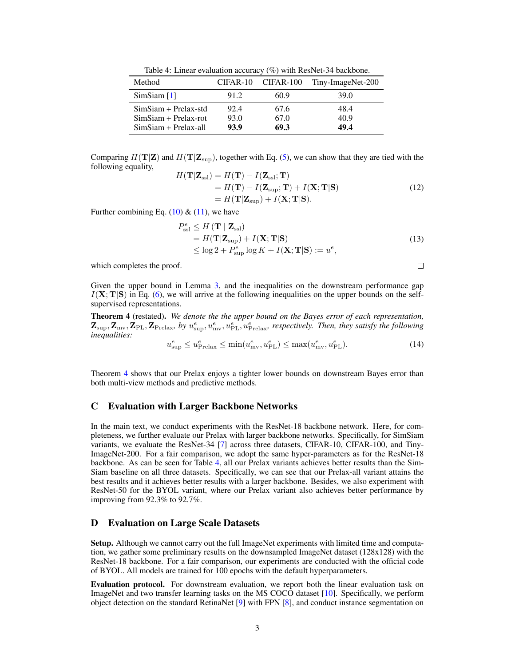Table 4: Linear evaluation accuracy (%) with ResNet-34 backbone.

<span id="page-2-2"></span><span id="page-2-1"></span>

| Method                 | CIFAR-10 | CIFAR-100 | Tiny-ImageNet-200 |
|------------------------|----------|-----------|-------------------|
| SimSiam [1]            | 91.2     | 60.9      | 39.O              |
| $SimSiam + Prelax-std$ | 92.4     | 67.6      | 48.4              |
| $SimSiam + Prelax-rot$ | 93.0     | 67.0      | 40.9              |
| $SimSiam + Prelax-all$ | 93.9     | 69.3      | 49.4              |

Comparing  $H(T|\mathbf{Z})$  and  $H(T|\mathbf{Z}_{\text{sup}})$ , together with Eq. [\(5\)](#page-1-0), we can show that they are tied with the following equality,

$$
H(\mathbf{T}|\mathbf{Z}_{\text{ssl}}) = H(\mathbf{T}) - I(\mathbf{Z}_{\text{ssl}}; \mathbf{T})
$$
  
=  $H(\mathbf{T}) - I(\mathbf{Z}_{\text{sup}}; \mathbf{T}) + I(\mathbf{X}; \mathbf{T}|\mathbf{S})$   
=  $H(\mathbf{T}|\mathbf{Z}_{\text{sup}}) + I(\mathbf{X}; \mathbf{T}|\mathbf{S}).$  (12)

Further combining Eq.  $(10)$  &  $(11)$ , we have

$$
P_{\text{ssl}}^e \le H(\mathbf{T} | \mathbf{Z}_{\text{ssl}})
$$
  
=  $H(\mathbf{T} | \mathbf{Z}_{\text{sup}}) + I(\mathbf{X}; \mathbf{T} | \mathbf{S})$   
 $\le \log 2 + P_{\text{sup}}^e \log K + I(\mathbf{X}; \mathbf{T} | \mathbf{S}) := u^e,$  (13)

which completes the proof.

 $\Box$ 

Given the upper bound in Lemma [3,](#page-1-3) and the inequalities on the downstream performance gap  $I(X; T|S)$  in Eq. [\(6\)](#page-1-4), we will arrive at the following inequalities on the upper bounds on the selfsupervised representations.

Theorem 4 (restated). *We denote the the upper bound on the Bayes error of each representation,*  $\mathbf{Z}_{\text{sup}}, \mathbf{Z}_{\text{Pr}}, \mathbf{Z}_{\text{Prelax}}, \text{ by } u_{\text{sup}}^e, u_{\text{mv}}^e, u_{\text{PL}}^e, u_{\text{Prelax}}^e,$  respectively. Then, they satisfy the following *inequalities:*

<span id="page-2-0"></span>
$$
u_{\sup}^e \le u_{\text{Prelax}}^e \le \min(u_{\text{mv}}^e, u_{\text{PL}}^e) \le \max(u_{\text{mv}}^e, u_{\text{PL}}^e). \tag{14}
$$

Theorem [4](#page-2-0) shows that our Prelax enjoys a tighter lower bounds on downstream Bayes error than both multi-view methods and predictive methods.

### C Evaluation with Larger Backbone Networks

In the main text, we conduct experiments with the ResNet-18 backbone network. Here, for completeness, we further evaluate our Prelax with larger backbone networks. Specifically, for SimSiam variants, we evaluate the ResNet-34 [\[7\]](#page-5-0) across three datasets, CIFAR-10, CIFAR-100, and Tiny-ImageNet-200. For a fair comparison, we adopt the same hyper-parameters as for the ResNet-18 backbone. As can be seen for Table [4,](#page-2-1) all our Prelax variants achieves better results than the Sim-Siam baseline on all three datasets. Specifically, we can see that our Prelax-all variant attains the best results and it achieves better results with a larger backbone. Besides, we also experiment with ResNet-50 for the BYOL variant, where our Prelax variant also achieves better performance by improving from 92.3% to 92.7%.

### D Evaluation on Large Scale Datasets

Setup. Although we cannot carry out the full ImageNet experiments with limited time and computation, we gather some preliminary results on the downsampled ImageNet dataset (128x128) with the ResNet-18 backbone. For a fair comparison, our experiments are conducted with the official code of BYOL. All models are trained for 100 epochs with the default hyperparameters.

Evaluation protocol. For downstream evaluation, we report both the linear evaluation task on ImageNet and two transfer learning tasks on the MS COCO dataset [\[10\]](#page-5-3). Specifically, we perform object detection on the standard RetinaNet [\[9\]](#page-5-4) with FPN [\[8\]](#page-5-5), and conduct instance segmentation on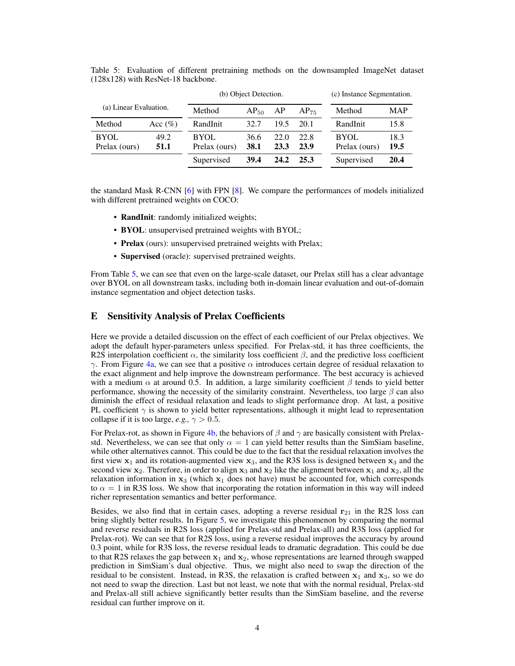|                        |             | (b) Object Detection. |             |      |           | (c) Instance Segmentation. |            |
|------------------------|-------------|-----------------------|-------------|------|-----------|----------------------------|------------|
| (a) Linear Evaluation. |             | Method                | $AP_{50}$   | AP   | $AP_{75}$ | Method                     | <b>MAP</b> |
| Method                 | Acc $(\% )$ | RandInit              | 32.7        | 19.5 | 20.1      | RandInit                   | 15.8       |
| <b>BYOL</b>            | 49.2        | <b>BYOL</b>           | 36.6        | 22.0 | 22.8      | BYOL                       | 18.3       |
| Prelax (ours)          | 51.1        | Prelax (ours)         | <b>38.1</b> | 23.3 | 23.9      | Prelax (ours)              | 19.5       |
|                        |             | Supervised            | 39.4        | 24.2 | 25.3      | Supervised                 | 20.4       |

<span id="page-3-1"></span><span id="page-3-0"></span>Table 5: Evaluation of different pretraining methods on the downsampled ImageNet dataset (128x128) with ResNet-18 backbone.

the standard Mask R-CNN [\[6\]](#page-5-6) with FPN [\[8\]](#page-5-5). We compare the performances of models initialized with different pretrained weights on COCO:

- RandInit: randomly initialized weights;
- BYOL: unsupervised pretrained weights with BYOL;
- Prelax (ours): unsupervised pretrained weights with Prelax;
- Supervised (oracle): supervised pretrained weights.

From Table [5,](#page-3-0) we can see that even on the large-scale dataset, our Prelax still has a clear advantage over BYOL on all downstream tasks, including both in-domain linear evaluation and out-of-domain instance segmentation and object detection tasks.

### E Sensitivity Analysis of Prelax Coefficients

Here we provide a detailed discussion on the effect of each coefficient of our Prelax objectives. We adopt the default hyper-parameters unless specified. For Prelax-std, it has three coefficients, the R2S interpolation coefficient  $\alpha$ , the similarity loss coefficient  $\beta$ , and the predictive loss coefficient  $γ$ . From Figure [4a,](#page-4-4) we can see that a positive  $α$  introduces certain degree of residual relaxation to the exact alignment and help improve the downstream performance. The best accuracy is achieved with a medium  $\alpha$  at around 0.5. In addition, a large similarity coefficient  $\beta$  tends to yield better performance, showing the necessity of the similarity constraint. Nevertheless, too large  $\beta$  can also diminish the effect of residual relaxation and leads to slight performance drop. At last, a positive PL coefficient  $\gamma$  is shown to yield better representations, although it might lead to representation collapse if it is too large, *e.g.*,  $\gamma > 0.5$ .

For Prelax-rot, as shown in Figure [4b,](#page-4-4) the behaviors of  $\beta$  and  $\gamma$  are basically consistent with Prelaxstd. Nevertheless, we can see that only  $\alpha = 1$  can yield better results than the SimSiam baseline, while other alternatives cannot. This could be due to the fact that the residual relaxation involves the first view  $x_1$  and its rotation-augmented view  $x_3$ , and the R3S loss is designed between  $x_3$  and the second view  $x_2$ . Therefore, in order to align  $x_3$  and  $x_2$  like the alignment between  $x_1$  and  $x_2$ , all the relaxation information in  $x_3$  (which  $x_1$  does not have) must be accounted for, which corresponds to  $\alpha = 1$  in R3S loss. We show that incorporating the rotation information in this way will indeed richer representation semantics and better performance.

Besides, we also find that in certain cases, adopting a reverse residual  $r_{21}$  in the R2S loss can bring slightly better results. In Figure [5,](#page-4-5) we investigate this phenomenon by comparing the normal and reverse residuals in R2S loss (applied for Prelax-std and Prelax-all) and R3S loss (applied for Prelax-rot). We can see that for R2S loss, using a reverse residual improves the accuracy by around 0.3 point, while for R3S loss, the reverse residual leads to dramatic degradation. This could be due to that R2S relaxes the gap between  $x_1$  and  $x_2$ , whose representations are learned through swapped prediction in SimSiam's dual objective. Thus, we might also need to swap the direction of the residual to be consistent. Instead, in R3S, the relaxation is crafted between  $x_1$  and  $x_3$ , so we do not need to swap the direction. Last but not least, we note that with the normal residual, Prelax-std and Prelax-all still achieve significantly better results than the SimSiam baseline, and the reverse residual can further improve on it.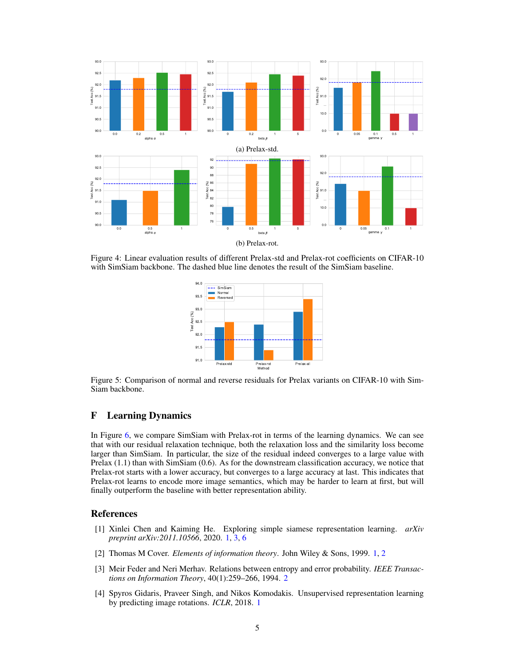<span id="page-4-4"></span>

<span id="page-4-5"></span>Figure 4: Linear evaluation results of different Prelax-std and Prelax-rot coefficients on CIFAR-10 with SimSiam backbone. The dashed blue line denotes the result of the SimSiam baseline.



Figure 5: Comparison of normal and reverse residuals for Prelax variants on CIFAR-10 with Sim-Siam backbone.

# F Learning Dynamics

In Figure [6,](#page-5-7) we compare SimSiam with Prelax-rot in terms of the learning dynamics. We can see that with our residual relaxation technique, both the relaxation loss and the similarity loss become larger than SimSiam. In particular, the size of the residual indeed converges to a large value with Prelax (1.1) than with SimSiam (0.6). As for the downstream classification accuracy, we notice that Prelax-rot starts with a lower accuracy, but converges to a large accuracy at last. This indicates that Prelax-rot learns to encode more image semantics, which may be harder to learn at first, but will finally outperform the baseline with better representation ability.

#### References

- <span id="page-4-1"></span>[1] Xinlei Chen and Kaiming He. Exploring simple siamese representation learning. *arXiv preprint arXiv:2011.10566*, 2020. [1,](#page-0-3) [3,](#page-2-2) [6](#page-5-8)
- <span id="page-4-2"></span>[2] Thomas M Cover. *Elements of information theory*. John Wiley & Sons, 1999. [1,](#page-0-3) [2](#page-1-5)
- <span id="page-4-3"></span>[3] Meir Feder and Neri Merhav. Relations between entropy and error probability. *IEEE Transactions on Information Theory*, 40(1):259–266, 1994. [2](#page-1-5)
- <span id="page-4-0"></span>[4] Spyros Gidaris, Praveer Singh, and Nikos Komodakis. Unsupervised representation learning by predicting image rotations. *ICLR*, 2018. [1](#page-0-3)